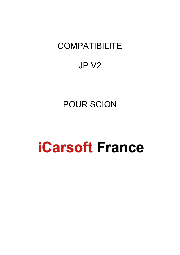# **COMPATIBILITE**

## JP V2

# POUR SCION

# **iCarsoft France**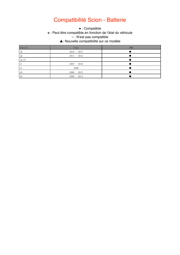### Compatibilité Scion - Batterie

\* : Peut être compatible en fonction de l'état du véhicule ○ : N'est pas compatible.  $\mathbf{A} \cdot \mathbf{A}$ ▲: Nouvelle compatibilité sur ce modèle • : Compatible

| Vehicle                 | Year          | <b>BMS</b> |
|-------------------------|---------------|------------|
| iM                      | $2016 - 2017$ |            |
| iQ                      | $2011 - 2015$ |            |
| iQ EV                   |               |            |
| $\mathsf{t} \mathsf{C}$ | $2007 - 2016$ |            |
| хA                      | 2006          |            |
| xB                      | $2006 - 2015$ |            |
| xD                      | $2008 - 2014$ |            |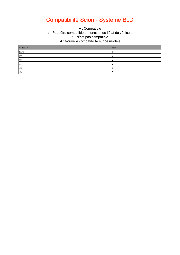### Compatibilité Scion - Système BLD

\* : Peut être compatible en fonction de l'état du véhicule ○ : N'est pas compatible.  $\Delta$  This function is not supported. ▲: Nouvelle compatibilité sur ce modèle • : Compatible

| Vehicle                 | <b>BLD</b> |
|-------------------------|------------|
| $FR-S$                  | ※          |
| iQ                      | ⋇          |
| $\mathsf{t} \mathsf{C}$ | ※          |
| хA                      | ⋇          |
| xB                      | ⋇          |
| xD                      | ⋇          |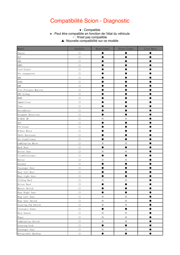#### Compatibilité Scion - Diagnostic

#### ● This function is supported. ※ : Peut être compatible en fonction de l'état du véhicule ○ : N'est pas compatible. ○ This function is not supported.  $\bullet$  : Compatible ▲: Nouvelle compatibilité sur ce modèle

| Model                          | EcuInfo    | Read Codes | Erase Codes | Live Data |
|--------------------------------|------------|------------|-------------|-----------|
| Engine                         | $\bigcirc$ |            |             |           |
| $\ensuremath{\mathrm{ECT}\, }$ | $\bigcirc$ |            |             |           |
| ABS                            | $\bigcirc$ |            |             |           |
| <b>EMPS</b>                    | $\bigcirc$ |            |             |           |
| Free-Tronic                    | $\bigcirc$ |            |             |           |
| Air suspension                 | $\bigcirc$ |            |             |           |
| $\rm AHC$                      | $\bigcirc$ |            |             |           |
| <b>VGRS</b>                    | $\bigcirc$ |            |             |           |
| EMS                            | $\circ$    |            |             |           |
| Tire Pressure Monitor          | $\circ$    |            |             |           |
| SRS Airbag                     | $\bigcirc$ |            |             |           |
| $\operatorname{BODY}$          | $\circ$    |            |             |           |
| Immobiliser                    | $\circ$    |            |             |           |
| Tvss                           | $\circ$    |            |             |           |
| Entry&Start                    | $\circ$    |            |             |           |
| Occupant Detection             | $\bigcirc$ |            |             |           |
| D-SEAT SW                      | $\circ$    | $\times$   | $\times$    |           |
| $\rm{AFS}$                     | $\bigcirc$ |            |             |           |
| Pre-Crash                      | $\circ$    |            |             |           |
| D-Door Motor                   | $\bigcirc$ |            |             |           |
| Theft Deterrent                | $\bigcirc$ |            |             |           |
| Air Conditioner                | $\bigcirc$ |            |             |           |
| Combination Meter              | $\bigcirc$ | $\times$   | $\times$    |           |
| Back Door                      | $\bigcirc$ | D          |             |           |
| Driver Seat                    | $\bigcirc$ | $\times$   | $\times$    |           |
| Tilt&Telescopic                | $\bigcirc$ |            |             |           |
| Mirror                         | $\bigcirc$ | $\times$   | $\times$    |           |
| Gateway                        | $\bigcirc$ |            |             |           |
| Passenger Door                 | $\bigcirc$ |            |             |           |
| Rear left Door                 | $\bigcirc$ |            |             |           |
| Rear right door                | $\bigcirc$ |            |             |           |
| Sliding Roof                   | $\circ$    | $\times$   | $\times$    |           |
| Driver Door                    | $\bigcirc$ |            |             |           |
| Master Switch                  | $\circ$    |            |             |           |
| Rear Right Seat                | $\circ$    | $\bullet$  | $\bullet$   |           |
| Rear Left Seat                 | $\bigcirc$ | $\times$   | $\times$    |           |
| Rear Seat Switch               | $\bigcirc$ | $\times$   | $\times$    |           |
| Steering Pad Switch            | $\bigcirc$ | $\times$   | $\times$    |           |
| Clearance Sonar                | $\bigcirc$ | $\bullet$  | $\bullet$   |           |
| Rain Sensor                    | $\bigcirc$ | $\times$   | $\times$    |           |
| Wiper                          | $\bigcirc$ | $\times$   | $\times$    |           |
| Combination Switch             | $\bigcirc$ | $\times$   | $\times$    |           |
| Steering Lock                  | $\bigcirc$ | $\bullet$  | $\bullet$   |           |
| Passenger Seat                 | $\bigcirc$ | $\times$   | $\times$    |           |
| Retractable Hardtop            | $\bigcirc$ | $\bullet$  | $\bullet$   |           |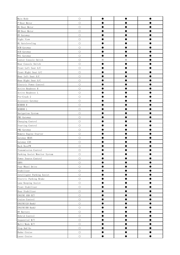| Main Body                     | $\circ$    |          |   |  |
|-------------------------------|------------|----------|---|--|
| P-Door Motor                  | $\bigcirc$ |          |   |  |
| RL-Door Motor                 | $\bigcirc$ |          |   |  |
| RR-Door Motor                 | $\circ$    |          |   |  |
| HV Gateway                    | $\bigcirc$ |          |   |  |
| Night View                    | $\bigcirc$ |          |   |  |
| HL Autoleveling               | $\circ$    |          |   |  |
| ECM Gateway                   | $\bigcirc$ |          |   |  |
| ECB Gateway                   | $\circ$    |          |   |  |
| WIL Gateway                   | $\bigcirc$ |          |   |  |
| Center Console Switch         | $\circ$    | $\times$ | ⋇ |  |
| Rear Console Switch           | $\bigcirc$ |          |   |  |
| Front Left Seat A/C           | $\circ$    |          |   |  |
| Front Right Seat A/C          | $\circ$    |          |   |  |
| Rear left Seat A/C            | $\circ$    |          |   |  |
| Rear Right Seat A/C           | $\circ$    |          |   |  |
| Electric Power Control        | $\circ$    |          |   |  |
| Active Headrest R             | $\bigcirc$ |          |   |  |
| Active Headrest L             | $\bigcirc$ |          |   |  |
| Pre-Crash 2                   | $\bigcirc$ |          |   |  |
| Accessory Gateway             | $\circ$    |          |   |  |
| MIRROR R                      | $\bigcirc$ |          |   |  |
| MIRROR L                      | $\bigcirc$ |          |   |  |
| Navigation System             | $\bigcirc$ |          |   |  |
| PM1 Gateway                   | $\bigcirc$ |          |   |  |
| Charging Control              | $\circ$    |          |   |  |
| Starting Control              | $\bigcirc$ |          |   |  |
| PM2 Gateway                   | $\bigcirc$ |          |   |  |
| Remote Engine Starter         | $\bigcirc$ |          |   |  |
| Gateway BEAN                  | $\bigcirc$ |          |   |  |
| Gateway CAN                   | $\bigcirc$ |          |   |  |
| Back DoorPW                   | $\circ$    |          |   |  |
| Transmission Control          | $\circ$    |          |   |  |
| Parking Assist Monitor System | $\bigcirc$ |          |   |  |
| Power Source Control          | $\circ$    |          |   |  |
| <b>EHPS</b>                   | $\circ$    |          |   |  |
| Four Wheel Drive              | $\bigcirc$ |          |   |  |
| Stabilizer                    | $\bigcirc$ |          |   |  |
| Intelligent Parking Assist    | $\circ$    |          |   |  |
| Electric Parking Brake        | $\circ$    |          |   |  |
| Lane Keeping Assist           | $\bigcirc$ |          |   |  |
| Front Stabilizer              | $\bigcirc$ |          |   |  |
| Rear Stabilizer               | $\circ$    |          |   |  |
| ENGINE AND ECT                | $\circ$    |          |   |  |
| Cruise Control                | $\bigcirc$ |          |   |  |
| ENGINE (LH Bank)              | $\bigcirc$ |          |   |  |
| ENGINE (RH Bank)              | $\circ$    |          |   |  |
| HV Battery                    | $\bigcirc$ |          |   |  |
| Hybrid Control                | $\bigcirc$ |          |   |  |
| Sequential M/T                | $\bigcirc$ |          |   |  |
| Multi-Mode M/T                | $\bigcirc$ |          |   |  |
| Stop And Go                   | $\circ$    |          |   |  |
| Radar Cruise                  | $\bigcirc$ |          |   |  |
| Laser Cruise                  | $\bigcirc$ |          |   |  |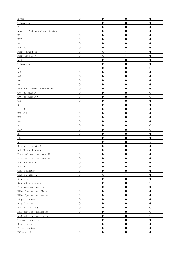| $E - ACM$                                         | $\bigcirc$ |          |          |            |
|---------------------------------------------------|------------|----------|----------|------------|
| Telematics                                        | $\circ$    |          |          |            |
| <b>PPS</b>                                        | $\circ$    |          |          |            |
| Advanced Parking Guidance System                  | $\bigcirc$ |          |          |            |
| FC                                                | $\bigcirc$ |          |          |            |
| FCHV                                              | $\circ$    |          |          |            |
| $\mathop{\rm EV}\nolimits$                        | $\bigcirc$ |          |          |            |
| Battery                                           | $\bigcirc$ |          |          |            |
| Front Right Door                                  | $\bigcirc$ | $\times$ | $\times$ |            |
| Front Left Door                                   | $\bigcirc$ | $\times$ | $\times$ |            |
| <b>KDSS</b>                                       | $\bigcirc$ |          |          |            |
| Telematics                                        | $\bigcirc$ |          |          |            |
| $\ensuremath{\mathrm{A}}/\ensuremath{\mathrm{B}}$ | $\circ$    |          |          |            |
| $\ensuremath{\text{A}}/\ensuremath{\text{T}}$     | $\circ$    |          |          |            |
| AMT                                               | $\bigcirc$ |          |          |            |
| ARS                                               | $\bigcirc$ |          |          |            |
| ASG                                               | $\bigcirc$ |          |          |            |
| Bluetooth communication module                    | $\bigcirc$ |          |          |            |
| CAN bus gateway                                   | $\bigcirc$ |          |          | $\bigcirc$ |
| CAN bus gateway V                                 | $\circ$    |          |          | $\bigcirc$ |
| $\ensuremath{\mathrm{CVT}}$                       | $\circ$    |          |          |            |
| <b>DRS</b>                                        | $\circ$    |          |          |            |
| eco IDLE                                          | $\circ$    |          |          |            |
| ECT (SIL)                                         | $\bigcirc$ |          |          |            |
| $\operatorname{EFI}$                              | $\circ$    |          |          |            |
| <b>EPS</b>                                        | $\circ$    |          |          |            |
| ${\rm FC}$                                        | $\circ$    |          |          | $\circ$    |
| FCHV                                              | $\bigcirc$ |          |          | O          |
| $\mathop{\rm HV}$                                 | $\circ$    |          |          |            |
| $_{\rm{ITC}}$                                     | $\bigcirc$ |          |          |            |
| <b>KFS</b>                                        | $\circ$    |          |          | ፠          |
| RL seat headrest ACT                              | $\circ$    |          |          |            |
| ACT RR seat headrest                              | $\circ$    |          |          |            |
| Pre-crash seat back seat RL                       | $\bigcirc$ |          |          |            |
| Pre-crash seat back seat RR                       | $\circ$    |          |          |            |
| Active rear wing                                  | $\circ$    |          |          |            |
| Engine 2                                          | $\circ$    |          |          |            |
| Grille shutter                                    | $\bigcirc$ |          |          |            |
| Cruise Control 2                                  | $\circ$    | $\times$ | $\times$ |            |
| Stop & Go                                         | $\circ$    | ●        |          |            |
| Diagnostics recorder                              | $\bigcirc$ |          |          | О          |
| Panoramic View Monitor                            | $\bigcirc$ |          |          |            |
| Blind Spot Monitor Slave                          | $\bigcirc$ |          |          |            |
| Blind Spot Monitor Master                         | $\circ$    |          |          |            |
| Plug-in control                                   | $\bigcirc$ |          |          |            |
| Body / gateway                                    | $\bigcirc$ |          |          |            |
| Multi-bus gateway                                 | $\bigcirc$ |          |          | $\bigcirc$ |
| No. 1 multi-bus monitoring                        | $\circ$    |          |          | $\circ$    |
| No. 2 multi-bus monitoring                        | $\bigcirc$ |          |          | $\circ$    |
| The motor-generator                               | $\circ$    |          |          |            |
| Remote Security                                   | $\circ$    |          |          |            |
| Vehicle control                                   | $\circ$    |          |          |            |
| PKB electric                                      | $\bigcirc$ |          |          |            |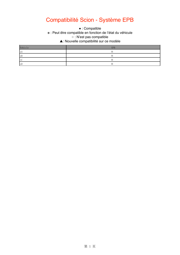### Compatibilité Scion - Système EPB

\* : Peut être compatible en fonction de l'état du véhicule ○ : N'est pas compatible.  $\Delta$  This function is not supported. ▲: Nouvelle compatibilité sur ce modèle • : Compatible

| Vehicle | <b>EPB</b> |
|---------|------------|
| ×А      | ⋇          |
| xB      | ※          |
| tC      | $\times$   |
| xD      | Х          |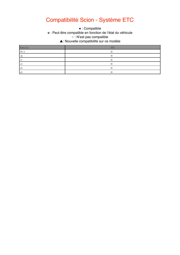#### Compatibilité Scion - Système ETC

\* : Peut être compatible en fonction de l'état du véhicule ○ : N'est pas compatible.  $\Delta$  This function is not supported. ▲: Nouvelle compatibilité sur ce modèle • : Compatible

Vehicle ETC FR-S  $\mathbb{R}$  and  $\mathbb{R}$  and  $\mathbb{R}$  and  $\mathbb{R}$  and  $\mathbb{R}$  and  $\mathbb{R}$  and  $\mathbb{R}$  and  $\mathbb{R}$  and  $\mathbb{R}$  and  $\mathbb{R}$  and  $\mathbb{R}$  and  $\mathbb{R}$  and  $\mathbb{R}$  and  $\mathbb{R}$  and  $\mathbb{R}$  and  $\mathbb{R}$  and  $\mathbb{R}$  iQ  $\infty$ tC to the contract of the contract of the contract of the contract of the contract of the contract of the contract of the contract of the contract of the contract of the contract of the contract of the contract of the cont  $xA$  $xB$  and  $xB$  and  $xB$  and  $xB$  and  $xB$  and  $xB$  and  $xB$  and  $xB$  and  $xB$  and  $xB$  and  $xB$  and  $xB$  and  $xB$  and  $xB$  and  $xB$  and  $xB$  and  $xB$  and  $xB$  and  $xB$  and  $xB$  and  $xB$  and  $xB$  and  $xB$  and  $xB$  and  $xB$   $\times$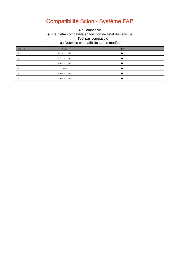### Compatibilité Scion - Système FAP

• : Compatible

※ : Peut être compatible en fonction de l'état du véhicule

○ : N'est pas compatible

 $\mathcal{L}$ ▲: Nouvelle compatibilité sur ce modèle

| Vehicle                                           | Year          | <b>DPF</b> |
|---------------------------------------------------|---------------|------------|
| $\mbox{FR}-\mbox{S}$                              | $2013 - 2015$ |            |
| ${\rm i}\, {\mathbb Q}$                           | $2011 - 2015$ |            |
| $\ensuremath{\mathbf{t}} \ensuremath{\mathbf{C}}$ | $2007 - 2015$ |            |
| xA                                                | 2006          |            |
| xB                                                | $2006 - 2015$ |            |
| xD                                                | $2008 - 2014$ |            |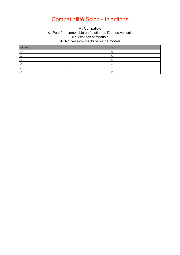#### Compatibilité Scion - Injections

 $\bullet$  : Compatible

\* : Peut être compatible en fonction de l'état du véhicule

○ : N'est pas compatible.

 $\mathbf{A} \times \mathbf{A}$ ▲: Nouvelle compatibilité sur ce modèle

| Vehicle | IN.      |
|---------|----------|
| $FR-S$  | ※        |
| iQ      | $\times$ |
| tC      | $\times$ |
| xА      | ⋇        |
| xB      | X        |
| xD      | X        |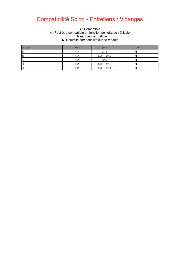## Compatibilité Scion - Entretiens / Vidanges

#### ● This function is supported. ※ : Peut être compatible en fonction de l'état du véhicule ○ : N'est pas compatible. ▲: Nouvelle compatibilité sur ce modèle  $\bullet$  : Compatible

| Vehicle | Area       | Year          | 0IL |
|---------|------------|---------------|-----|
| iQ      | <b>USA</b> | 2012          |     |
| tC      | <b>USA</b> | $2006 - 2012$ |     |
| xА      | <b>USA</b> | 2006          |     |
| xB      | <b>USA</b> | $2006 - 2012$ |     |
| xD      | USA        | $2008 - 2011$ |     |